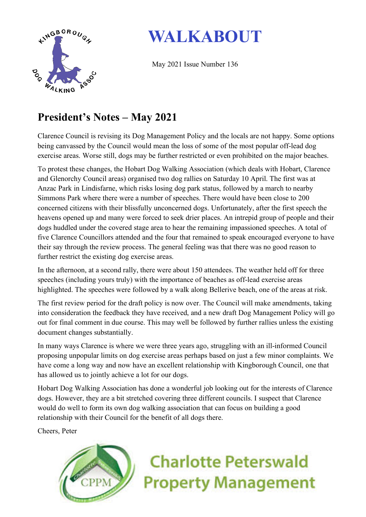

## **WALKABOUT**

May 2021 Issue Number 136

### **President's Notes – May 2021**

Clarence Council is revising its Dog Management Policy and the locals are not happy. Some options being canvassed by the Council would mean the loss of some of the most popular off-lead dog exercise areas. Worse still, dogs may be further restricted or even prohibited on the major beaches.

To protest these changes, the Hobart Dog Walking Association (which deals with Hobart, Clarence and Glenorchy Council areas) organised two dog rallies on Saturday 10 April. The first was at Anzac Park in Lindisfarne, which risks losing dog park status, followed by a march to nearby Simmons Park where there were a number of speeches. There would have been close to 200 concerned citizens with their blissfully unconcerned dogs. Unfortunately, after the first speech the heavens opened up and many were forced to seek drier places. An intrepid group of people and their dogs huddled under the covered stage area to hear the remaining impassioned speeches. A total of five Clarence Councillors attended and the four that remained to speak encouraged everyone to have their say through the review process. The general feeling was that there was no good reason to further restrict the existing dog exercise areas.

In the afternoon, at a second rally, there were about 150 attendees. The weather held off for three speeches (including yours truly) with the importance of beaches as off-lead exercise areas highlighted. The speeches were followed by a walk along Bellerive beach, one of the areas at risk.

The first review period for the draft policy is now over. The Council will make amendments, taking into consideration the feedback they have received, and a new draft Dog Management Policy will go out for final comment in due course. This may well be followed by further rallies unless the existing document changes substantially.

In many ways Clarence is where we were three years ago, struggling with an ill-informed Council proposing unpopular limits on dog exercise areas perhaps based on just a few minor complaints. We have come a long way and now have an excellent relationship with Kingborough Council, one that has allowed us to jointly achieve a lot for our dogs.

Hobart Dog Walking Association has done a wonderful job looking out for the interests of Clarence dogs. However, they are a bit stretched covering three different councils. I suspect that Clarence would do well to form its own dog walking association that can focus on building a good relationship with their Council for the benefit of all dogs there.

Cheers, Peter



# **Charlotte Peterswald Property Management**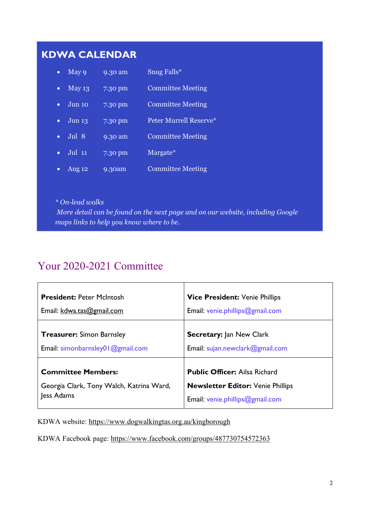#### **KDWA CALENDAR**

| $\bullet$ | May 9    | 9.30 am   | Snug Falls*              |
|-----------|----------|-----------|--------------------------|
|           | May 13   | 7.30 pm   | <b>Committee Meeting</b> |
|           | Jun 10   | 7.30 pm   | <b>Committee Meeting</b> |
|           | Jun 13   | $7.30$ pm | Peter Murrell Reserve*   |
|           | Jul 8    | 9.30 am   | <b>Committee Meeting</b> |
|           | $Jul$ 11 | $7.30$ pm | Margate <sup>*</sup>     |
|           | Aug 12   | 9.30am    | <b>Committee Meeting</b> |

*\* On-lead walks More detail can be found on the next page and on our website, including Google maps links to help you know where to be.*

#### Your 2020-2021 Committee

| <b>President: Peter McIntosh</b>         | <b>Vice President: Venie Phillips</b>    |
|------------------------------------------|------------------------------------------|
| Email: kdwa.tas@gmail.com                | Email: venie.phillips@gmail.com          |
| <b>Treasurer:</b> Simon Barnsley         | <b>Secretary: Jan New Clark</b>          |
| Email: simonbarnsley01@gmail.com         | Email: sujan.newclark@gmail.com          |
| <b>Committee Members:</b>                | <b>Public Officer: Ailsa Richard</b>     |
| Georgia Clark, Tony Walch, Katrina Ward, | <b>Newsletter Editor: Venie Phillips</b> |
| Jess Adams                               | Email: venie.phillips@gmail.com          |

KDWA website: https://www.dogwalkingtas.org.au/kingborough

KDWA Facebook page: https://www.facebook.com/groups/487730754572363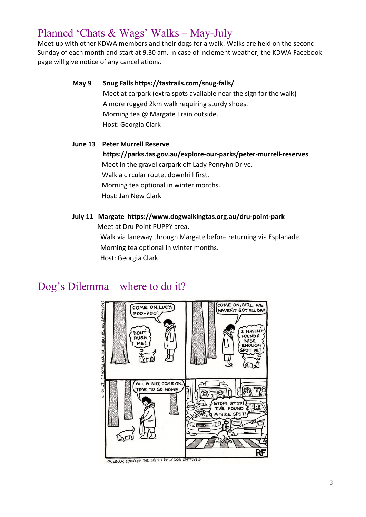#### Planned 'Chats & Wags' Walks – May-July

Meet up with other KDWA members and their dogs for a walk. Walks are held on the second Sunday of each month and start at 9.30 am. In case of inclement weather, the KDWA Facebook page will give notice of any cancellations.

> **May 9 Snug Falls https://tastrails.com/snug-falls/** Meet at carpark (extra spots available near the sign for the walk) A more rugged 2km walk requiring sturdy shoes. Morning tea @ Margate Train outside. Host: Georgia Clark

#### **June 13 Peter Murrell Reserve**

**https://parks.tas.gov.au/explore-our-parks/peter-murrell-reserves** Meet in the gravel carpark off Lady Penryhn Drive. Walk a circular route, downhill first. Morning tea optional in winter months. Host: Jan New Clark

#### **July 11 Margate https://www.dogwalkingtas.org.au/dru-point-park**

Meet at Dru Point PUPPY area.

Walk via laneway through Margate before returning via Esplanade. Morning tea optional in winter months. Host: Georgia Clark

#### Dog's Dilemma – where to do it?

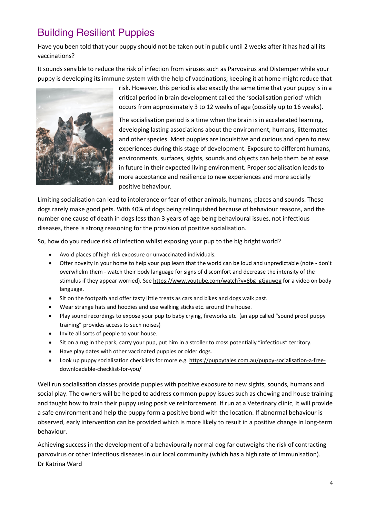### Building Resilient Puppies

Have you been told that your puppy should not be taken out in public until 2 weeks after it has had all its vaccinations?

It sounds sensible to reduce the risk of infection from viruses such as Parvovirus and Distemper while your puppy is developing its immune system with the help of vaccinations; keeping it at home might reduce that



risk. However, this period is also exactly the same time that your puppy is in a critical period in brain development called the 'socialisation period' which occurs from approximately 3 to 12 weeks of age (possibly up to 16 weeks).

The socialisation period is a time when the brain is in accelerated learning, developing lasting associations about the environment, humans, littermates and other species. Most puppies are inquisitive and curious and open to new experiences during this stage of development. Exposure to different humans, environments, surfaces, sights, sounds and objects can help them be at ease in future in their expected living environment. Proper socialisation leads to more acceptance and resilience to new experiences and more socially positive behaviour.

Limiting socialisation can lead to intolerance or fear of other animals, humans, places and sounds. These dogs rarely make good pets. With 40% of dogs being relinquished because of behaviour reasons, and the number one cause of death in dogs less than 3 years of age being behavioural issues, not infectious diseases, there is strong reasoning for the provision of positive socialisation.

So, how do you reduce risk of infection whilst exposing your pup to the big bright world?

- Avoid places of high-risk exposure or unvaccinated individuals.
- Offer novelty in your home to help your pup learn that the world can be loud and unpredictable (note don't overwhelm them - watch their body language for signs of discomfort and decrease the intensity of the stimulus if they appear worried). See https://www.youtube.com/watch?v=8bg\_gGguwzg for a video on body language.
- Sit on the footpath and offer tasty little treats as cars and bikes and dogs walk past.
- Wear strange hats and hoodies and use walking sticks etc. around the house.
- Play sound recordings to expose your pup to baby crying, fireworks etc. (an app called "sound proof puppy training" provides access to such noises)
- Invite all sorts of people to your house.
- Sit on a rug in the park, carry your pup, put him in a stroller to cross potentially "infectious" territory.
- Have play dates with other vaccinated puppies or older dogs.
- Look up puppy socialisation checklists for more e.g. https://puppytales.com.au/puppy-socialisation-a-freedownloadable-checklist-for-you/

Well run socialisation classes provide puppies with positive exposure to new sights, sounds, humans and social play. The owners will be helped to address common puppy issues such as chewing and house training and taught how to train their puppy using positive reinforcement. If run at a Veterinary clinic, it will provide a safe environment and help the puppy form a positive bond with the location. If abnormal behaviour is observed, early intervention can be provided which is more likely to result in a positive change in long-term behaviour.

Achieving success in the development of a behaviourally normal dog far outweighs the risk of contracting parvovirus or other infectious diseases in our local community (which has a high rate of immunisation). Dr Katrina Ward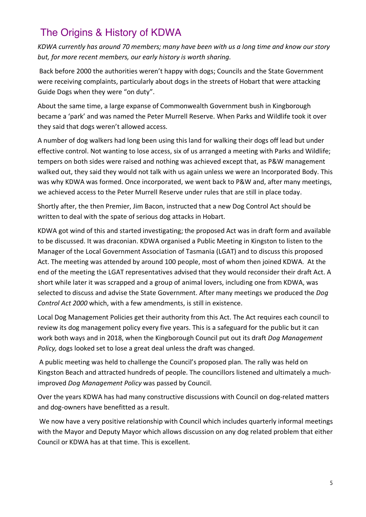### The Origins & History of KDWA

*KDWA currently has around 70 members; many have been with us a long time and know our story but, for more recent members, our early history is worth sharing.*

Back before 2000 the authorities weren't happy with dogs; Councils and the State Government were receiving complaints, particularly about dogs in the streets of Hobart that were attacking Guide Dogs when they were "on duty".

About the same time, a large expanse of Commonwealth Government bush in Kingborough became a 'park' and was named the Peter Murrell Reserve. When Parks and Wildlife took it over they said that dogs weren't allowed access.

A number of dog walkers had long been using this land for walking their dogs off lead but under effective control. Not wanting to lose access, six of us arranged a meeting with Parks and Wildlife; tempers on both sides were raised and nothing was achieved except that, as P&W management walked out, they said they would not talk with us again unless we were an Incorporated Body. This was why KDWA was formed. Once incorporated, we went back to P&W and, after many meetings, we achieved access to the Peter Murrell Reserve under rules that are still in place today.

Shortly after, the then Premier, Jim Bacon, instructed that a new Dog Control Act should be written to deal with the spate of serious dog attacks in Hobart.

KDWA got wind of this and started investigating; the proposed Act was in draft form and available to be discussed. It was draconian. KDWA organised a Public Meeting in Kingston to listen to the Manager of the Local Government Association of Tasmania (LGAT) and to discuss this proposed Act. The meeting was attended by around 100 people, most of whom then joined KDWA. At the end of the meeting the LGAT representatives advised that they would reconsider their draft Act. A short while later it was scrapped and a group of animal lovers, including one from KDWA, was selected to discuss and advise the State Government. After many meetings we produced the *Dog Control Act 2000* which, with a few amendments, is still in existence.

Local Dog Management Policies get their authority from this Act. The Act requires each council to review its dog management policy every five years. This is a safeguard for the public but it can work both ways and in 2018, when the Kingborough Council put out its draft *Dog Management Policy,* dogs looked set to lose a great deal unless the draft was changed.

A public meeting was held to challenge the Council's proposed plan. The rally was held on Kingston Beach and attracted hundreds of people. The councillors listened and ultimately a muchimproved *Dog Management Policy* was passed by Council.

Over the years KDWA has had many constructive discussions with Council on dog-related matters and dog-owners have benefitted as a result.

We now have a very positive relationship with Council which includes quarterly informal meetings with the Mayor and Deputy Mayor which allows discussion on any dog related problem that either Council or KDWA has at that time. This is excellent.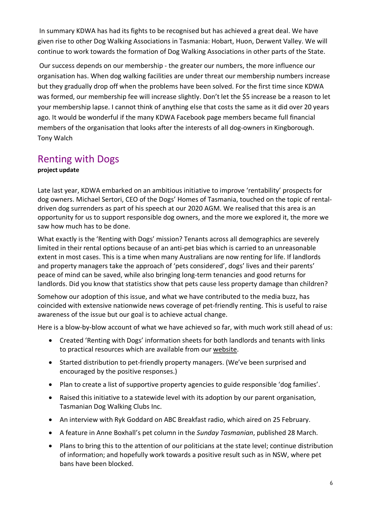In summary KDWA has had its fights to be recognised but has achieved a great deal. We have given rise to other Dog Walking Associations in Tasmania: Hobart, Huon, Derwent Valley. We will continue to work towards the formation of Dog Walking Associations in other parts of the State.

Our success depends on our membership - the greater our numbers, the more influence our organisation has. When dog walking facilities are under threat our membership numbers increase but they gradually drop off when the problems have been solved. For the first time since KDWA was formed, our membership fee will increase slightly. Don't let the \$5 increase be a reason to let your membership lapse. I cannot think of anything else that costs the same as it did over 20 years ago. It would be wonderful if the many KDWA Facebook page members became full financial members of the organisation that looks after the interests of all dog-owners in Kingborough. Tony Walch

#### Renting with Dogs

#### **project update**

Late last year, KDWA embarked on an ambitious initiative to improve 'rentability' prospects for dog owners. Michael Sertori, CEO of the Dogs' Homes of Tasmania, touched on the topic of rentaldriven dog surrenders as part of his speech at our 2020 AGM. We realised that this area is an opportunity for us to support responsible dog owners, and the more we explored it, the more we saw how much has to be done.

What exactly is the 'Renting with Dogs' mission? Tenants across all demographics are severely limited in their rental options because of an anti-pet bias which is carried to an unreasonable extent in most cases. This is a time when many Australians are now renting for life. If landlords and property managers take the approach of 'pets considered', dogs' lives and their parents' peace of mind can be saved, while also bringing long-term tenancies and good returns for landlords. Did you know that statistics show that pets cause less property damage than children?

Somehow our adoption of this issue, and what we have contributed to the media buzz, has coincided with extensive nationwide news coverage of pet-friendly renting. This is useful to raise awareness of the issue but our goal is to achieve actual change.

Here is a blow-by-blow account of what we have achieved so far, with much work still ahead of us:

- Created 'Renting with Dogs' information sheets for both landlords and tenants with links to practical resources which are available from our website.
- Started distribution to pet-friendly property managers. (We've been surprised and encouraged by the positive responses.)
- Plan to create a list of supportive property agencies to guide responsible 'dog families'.
- Raised this initiative to a statewide level with its adoption by our parent organisation, Tasmanian Dog Walking Clubs Inc.
- An interview with Ryk Goddard on ABC Breakfast radio, which aired on 25 February.
- A feature in Anne Boxhall's pet column in the *Sunday Tasmanian*, published 28 March.
- Plans to bring this to the attention of our politicians at the state level; continue distribution of information; and hopefully work towards a positive result such as in NSW, where pet bans have been blocked.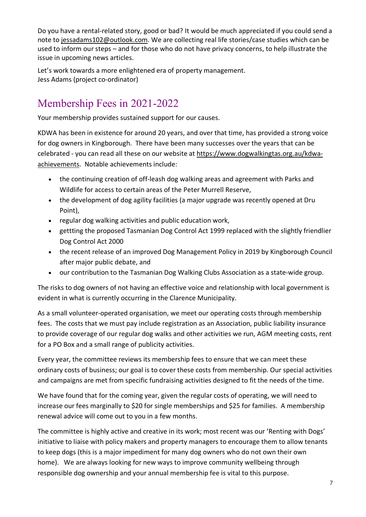Do you have a rental-related story, good or bad? It would be much appreciated if you could send a note to jessadams102@outlook.com. We are collecting real life stories/case studies which can be used to inform our steps – and for those who do not have privacy concerns, to help illustrate the issue in upcoming news articles.

Let's work towards a more enlightened era of property management. Jess Adams (project co-ordinator)

### Membership Fees in 2021-2022

Your membership provides sustained support for our causes.

KDWA has been in existence for around 20 years, and over that time, has provided a strong voice for dog owners in Kingborough. There have been many successes over the years that can be celebrated - you can read all these on our website at https://www.dogwalkingtas.org.au/kdwaachievements. Notable achievements include:

- the continuing creation of off-leash dog walking areas and agreement with Parks and Wildlife for access to certain areas of the Peter Murrell Reserve,
- the development of dog agility facilities (a major upgrade was recently opened at Dru Point),
- regular dog walking activities and public education work,
- gettting the proposed Tasmanian Dog Control Act 1999 replaced with the slightly friendlier Dog Control Act 2000
- the recent release of an improved Dog Management Policy in 2019 by Kingborough Council after major public debate, and
- our contribution to the Tasmanian Dog Walking Clubs Association as a state-wide group.

The risks to dog owners of not having an effective voice and relationship with local government is evident in what is currently occurring in the Clarence Municipality.

As a small volunteer-operated organisation, we meet our operating costs through membership fees. The costs that we must pay include registration as an Association, public liability insurance to provide coverage of our regular dog walks and other activities we run, AGM meeting costs, rent for a PO Box and a small range of publicity activities.

Every year, the committee reviews its membership fees to ensure that we can meet these ordinary costs of business; our goal is to cover these costs from membership. Our special activities and campaigns are met from specific fundraising activities designed to fit the needs of the time.

We have found that for the coming year, given the regular costs of operating, we will need to increase our fees marginally to \$20 for single memberships and \$25 for families. A membership renewal advice will come out to you in a few months.

The committee is highly active and creative in its work; most recent was our 'Renting with Dogs' initiative to liaise with policy makers and property managers to encourage them to allow tenants to keep dogs (this is a major impediment for many dog owners who do not own their own home). We are always looking for new ways to improve community wellbeing through responsible dog ownership and your annual membership fee is vital to this purpose.